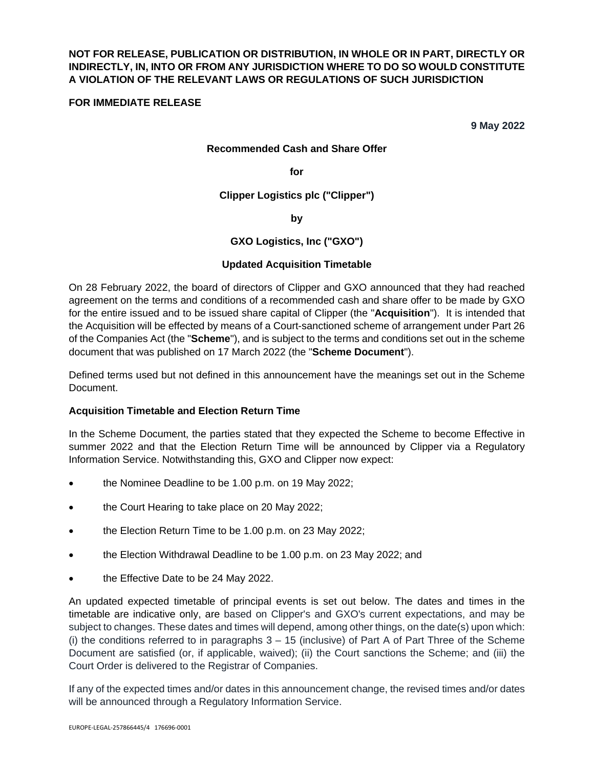# **NOT FOR RELEASE, PUBLICATION OR DISTRIBUTION, IN WHOLE OR IN PART, DIRECTLY OR INDIRECTLY, IN, INTO OR FROM ANY JURISDICTION WHERE TO DO SO WOULD CONSTITUTE A VIOLATION OF THE RELEVANT LAWS OR REGULATIONS OF SUCH JURISDICTION**

### **FOR IMMEDIATE RELEASE**

**9 May 2022** 

#### **Recommended Cash and Share Offer**

**for** 

**Clipper Logistics plc ("Clipper")** 

**by** 

**GXO Logistics, Inc ("GXO")** 

#### **Updated Acquisition Timetable**

On 28 February 2022, the board of directors of Clipper and GXO announced that they had reached agreement on the terms and conditions of a recommended cash and share offer to be made by GXO for the entire issued and to be issued share capital of Clipper (the "**Acquisition**"). It is intended that the Acquisition will be effected by means of a Court-sanctioned scheme of arrangement under Part 26 of the Companies Act (the "**Scheme**"), and is subject to the terms and conditions set out in the scheme document that was published on 17 March 2022 (the "**Scheme Document**").

Defined terms used but not defined in this announcement have the meanings set out in the Scheme Document.

#### **Acquisition Timetable and Election Return Time**

In the Scheme Document, the parties stated that they expected the Scheme to become Effective in summer 2022 and that the Election Return Time will be announced by Clipper via a Regulatory Information Service. Notwithstanding this, GXO and Clipper now expect:

- the Nominee Deadline to be 1.00 p.m. on 19 May 2022;
- the Court Hearing to take place on 20 May 2022;
- the Election Return Time to be 1.00 p.m. on 23 May 2022;
- the Election Withdrawal Deadline to be 1.00 p.m. on 23 May 2022; and
- the Effective Date to be 24 May 2022.

An updated expected timetable of principal events is set out below. The dates and times in the timetable are indicative only, are based on Clipper's and GXO's current expectations, and may be subject to changes. These dates and times will depend, among other things, on the date(s) upon which: (i) the conditions referred to in paragraphs  $3 - 15$  (inclusive) of Part A of Part Three of the Scheme Document are satisfied (or, if applicable, waived); (ii) the Court sanctions the Scheme; and (iii) the Court Order is delivered to the Registrar of Companies.

If any of the expected times and/or dates in this announcement change, the revised times and/or dates will be announced through a Regulatory Information Service.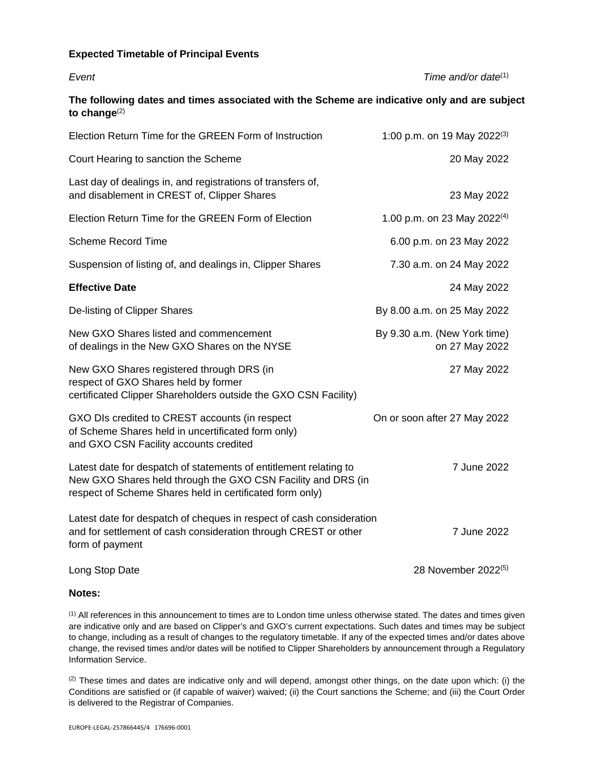## **Expected Timetable of Principal Events**

| Event                                                                                                                                                                                         | Time and/or date <sup>(1)</sup>                |
|-----------------------------------------------------------------------------------------------------------------------------------------------------------------------------------------------|------------------------------------------------|
| The following dates and times associated with the Scheme are indicative only and are subject<br>to change $^{(2)}$                                                                            |                                                |
| Election Return Time for the GREEN Form of Instruction                                                                                                                                        | 1:00 p.m. on 19 May 2022 <sup>(3)</sup>        |
| Court Hearing to sanction the Scheme                                                                                                                                                          | 20 May 2022                                    |
| Last day of dealings in, and registrations of transfers of,<br>and disablement in CREST of, Clipper Shares                                                                                    | 23 May 2022                                    |
| Election Return Time for the GREEN Form of Election                                                                                                                                           | 1.00 p.m. on 23 May 2022 <sup>(4)</sup>        |
| <b>Scheme Record Time</b>                                                                                                                                                                     | 6.00 p.m. on 23 May 2022                       |
| Suspension of listing of, and dealings in, Clipper Shares                                                                                                                                     | 7.30 a.m. on 24 May 2022                       |
| <b>Effective Date</b>                                                                                                                                                                         | 24 May 2022                                    |
| De-listing of Clipper Shares                                                                                                                                                                  | By 8.00 a.m. on 25 May 2022                    |
| New GXO Shares listed and commencement<br>of dealings in the New GXO Shares on the NYSE                                                                                                       | By 9.30 a.m. (New York time)<br>on 27 May 2022 |
| New GXO Shares registered through DRS (in<br>respect of GXO Shares held by former<br>certificated Clipper Shareholders outside the GXO CSN Facility)                                          | 27 May 2022                                    |
| GXO DIs credited to CREST accounts (in respect<br>of Scheme Shares held in uncertificated form only)<br>and GXO CSN Facility accounts credited                                                | On or soon after 27 May 2022                   |
| Latest date for despatch of statements of entitlement relating to<br>New GXO Shares held through the GXO CSN Facility and DRS (in<br>respect of Scheme Shares held in certificated form only) | 7 June 2022                                    |
| Latest date for despatch of cheques in respect of cash consideration<br>and for settlement of cash consideration through CREST or other<br>form of payment                                    | 7 June 2022                                    |
| Long Stop Date                                                                                                                                                                                | 28 November 2022 <sup>(5)</sup>                |

## **Notes:**

(1) All references in this announcement to times are to London time unless otherwise stated. The dates and times given are indicative only and are based on Clipper's and GXO's current expectations. Such dates and times may be subject to change, including as a result of changes to the regulatory timetable. If any of the expected times and/or dates above change, the revised times and/or dates will be notified to Clipper Shareholders by announcement through a Regulatory Information Service.

 $(2)$  These times and dates are indicative only and will depend, amongst other things, on the date upon which: (i) the Conditions are satisfied or (if capable of waiver) waived; (ii) the Court sanctions the Scheme; and (iii) the Court Order is delivered to the Registrar of Companies.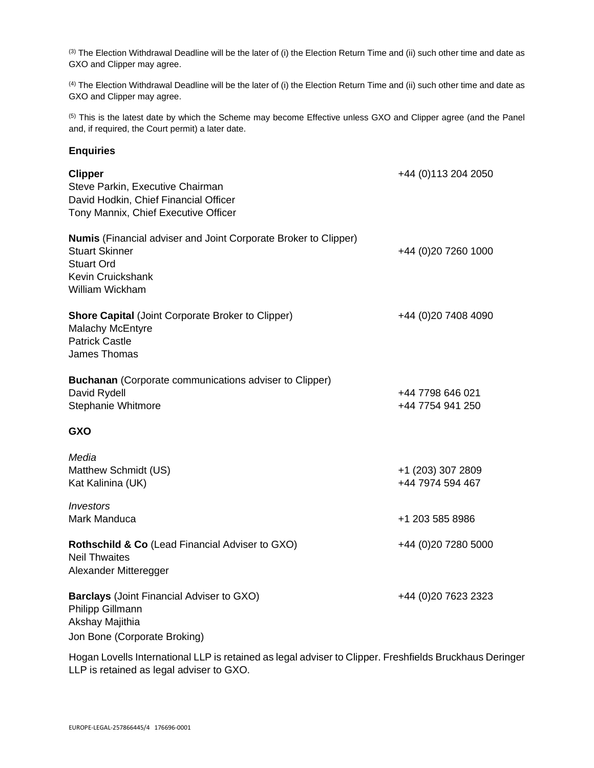(3) The Election Withdrawal Deadline will be the later of (i) the Election Return Time and (ii) such other time and date as GXO and Clipper may agree.

(4) The Election Withdrawal Deadline will be the later of (i) the Election Return Time and (ii) such other time and date as GXO and Clipper may agree.

<sup>(5)</sup> This is the latest date by which the Scheme may become Effective unless GXO and Clipper agree (and the Panel and, if required, the Court permit) a later date.

#### **Enquiries**

| <b>Clipper</b><br>Steve Parkin, Executive Chairman<br>David Hodkin, Chief Financial Officer<br>Tony Mannix, Chief Executive Officer                          | +44 (0) 113 204 2050                  |
|--------------------------------------------------------------------------------------------------------------------------------------------------------------|---------------------------------------|
| <b>Numis</b> (Financial adviser and Joint Corporate Broker to Clipper)<br><b>Stuart Skinner</b><br><b>Stuart Ord</b><br>Kevin Cruickshank<br>William Wickham | +44 (0)20 7260 1000                   |
| <b>Shore Capital (Joint Corporate Broker to Clipper)</b><br>Malachy McEntyre<br><b>Patrick Castle</b><br>James Thomas                                        | +44 (0)20 7408 4090                   |
| <b>Buchanan</b> (Corporate communications adviser to Clipper)<br>David Rydell<br>Stephanie Whitmore                                                          | +44 7798 646 021<br>+44 7754 941 250  |
| <b>GXO</b>                                                                                                                                                   |                                       |
| Media<br>Matthew Schmidt (US)<br>Kat Kalinina (UK)                                                                                                           | +1 (203) 307 2809<br>+44 7974 594 467 |
| <i><b>Investors</b></i><br>Mark Manduca                                                                                                                      | +1 203 585 8986                       |
| Rothschild & Co (Lead Financial Adviser to GXO)<br><b>Neil Thwaites</b><br>Alexander Mitteregger                                                             | +44 (0)20 7280 5000                   |
| <b>Barclays</b> (Joint Financial Adviser to GXO)<br>Philipp Gillmann<br>Akshay Majithia<br>Jon Bone (Corporate Broking)                                      | +44 (0) 20 7623 2323                  |

Hogan Lovells International LLP is retained as legal adviser to Clipper. Freshfields Bruckhaus Deringer LLP is retained as legal adviser to GXO.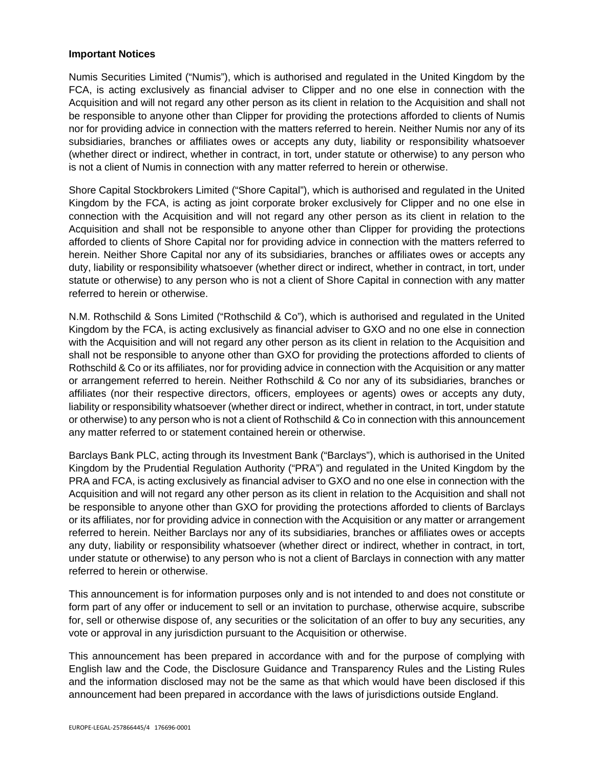#### **Important Notices**

Numis Securities Limited ("Numis"), which is authorised and regulated in the United Kingdom by the FCA, is acting exclusively as financial adviser to Clipper and no one else in connection with the Acquisition and will not regard any other person as its client in relation to the Acquisition and shall not be responsible to anyone other than Clipper for providing the protections afforded to clients of Numis nor for providing advice in connection with the matters referred to herein. Neither Numis nor any of its subsidiaries, branches or affiliates owes or accepts any duty, liability or responsibility whatsoever (whether direct or indirect, whether in contract, in tort, under statute or otherwise) to any person who is not a client of Numis in connection with any matter referred to herein or otherwise.

Shore Capital Stockbrokers Limited ("Shore Capital"), which is authorised and regulated in the United Kingdom by the FCA, is acting as joint corporate broker exclusively for Clipper and no one else in connection with the Acquisition and will not regard any other person as its client in relation to the Acquisition and shall not be responsible to anyone other than Clipper for providing the protections afforded to clients of Shore Capital nor for providing advice in connection with the matters referred to herein. Neither Shore Capital nor any of its subsidiaries, branches or affiliates owes or accepts any duty, liability or responsibility whatsoever (whether direct or indirect, whether in contract, in tort, under statute or otherwise) to any person who is not a client of Shore Capital in connection with any matter referred to herein or otherwise.

N.M. Rothschild & Sons Limited ("Rothschild & Co"), which is authorised and regulated in the United Kingdom by the FCA, is acting exclusively as financial adviser to GXO and no one else in connection with the Acquisition and will not regard any other person as its client in relation to the Acquisition and shall not be responsible to anyone other than GXO for providing the protections afforded to clients of Rothschild & Co or its affiliates, nor for providing advice in connection with the Acquisition or any matter or arrangement referred to herein. Neither Rothschild & Co nor any of its subsidiaries, branches or affiliates (nor their respective directors, officers, employees or agents) owes or accepts any duty, liability or responsibility whatsoever (whether direct or indirect, whether in contract, in tort, under statute or otherwise) to any person who is not a client of Rothschild & Co in connection with this announcement any matter referred to or statement contained herein or otherwise.

Barclays Bank PLC, acting through its Investment Bank ("Barclays"), which is authorised in the United Kingdom by the Prudential Regulation Authority ("PRA") and regulated in the United Kingdom by the PRA and FCA, is acting exclusively as financial adviser to GXO and no one else in connection with the Acquisition and will not regard any other person as its client in relation to the Acquisition and shall not be responsible to anyone other than GXO for providing the protections afforded to clients of Barclays or its affiliates, nor for providing advice in connection with the Acquisition or any matter or arrangement referred to herein. Neither Barclays nor any of its subsidiaries, branches or affiliates owes or accepts any duty, liability or responsibility whatsoever (whether direct or indirect, whether in contract, in tort, under statute or otherwise) to any person who is not a client of Barclays in connection with any matter referred to herein or otherwise.

This announcement is for information purposes only and is not intended to and does not constitute or form part of any offer or inducement to sell or an invitation to purchase, otherwise acquire, subscribe for, sell or otherwise dispose of, any securities or the solicitation of an offer to buy any securities, any vote or approval in any jurisdiction pursuant to the Acquisition or otherwise.

This announcement has been prepared in accordance with and for the purpose of complying with English law and the Code, the Disclosure Guidance and Transparency Rules and the Listing Rules and the information disclosed may not be the same as that which would have been disclosed if this announcement had been prepared in accordance with the laws of jurisdictions outside England.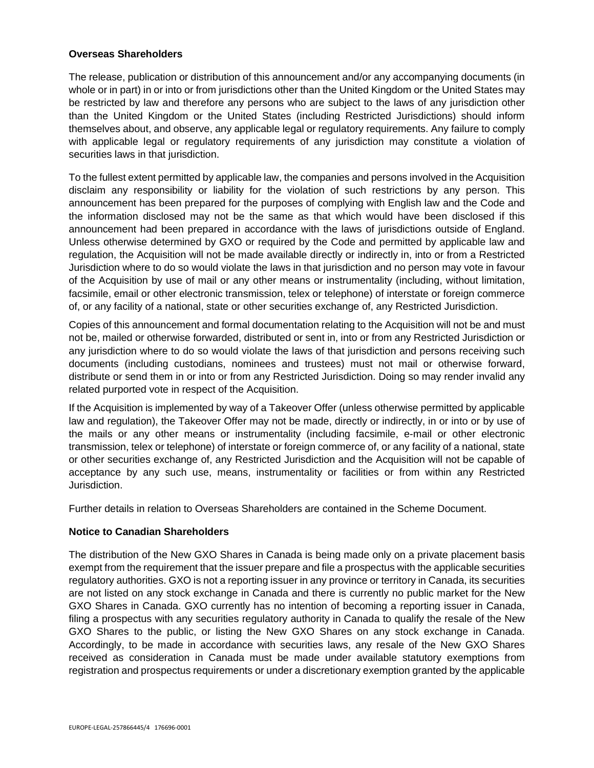### **Overseas Shareholders**

The release, publication or distribution of this announcement and/or any accompanying documents (in whole or in part) in or into or from jurisdictions other than the United Kingdom or the United States may be restricted by law and therefore any persons who are subject to the laws of any jurisdiction other than the United Kingdom or the United States (including Restricted Jurisdictions) should inform themselves about, and observe, any applicable legal or regulatory requirements. Any failure to comply with applicable legal or regulatory requirements of any jurisdiction may constitute a violation of securities laws in that jurisdiction.

To the fullest extent permitted by applicable law, the companies and persons involved in the Acquisition disclaim any responsibility or liability for the violation of such restrictions by any person. This announcement has been prepared for the purposes of complying with English law and the Code and the information disclosed may not be the same as that which would have been disclosed if this announcement had been prepared in accordance with the laws of jurisdictions outside of England. Unless otherwise determined by GXO or required by the Code and permitted by applicable law and regulation, the Acquisition will not be made available directly or indirectly in, into or from a Restricted Jurisdiction where to do so would violate the laws in that jurisdiction and no person may vote in favour of the Acquisition by use of mail or any other means or instrumentality (including, without limitation, facsimile, email or other electronic transmission, telex or telephone) of interstate or foreign commerce of, or any facility of a national, state or other securities exchange of, any Restricted Jurisdiction.

Copies of this announcement and formal documentation relating to the Acquisition will not be and must not be, mailed or otherwise forwarded, distributed or sent in, into or from any Restricted Jurisdiction or any jurisdiction where to do so would violate the laws of that jurisdiction and persons receiving such documents (including custodians, nominees and trustees) must not mail or otherwise forward, distribute or send them in or into or from any Restricted Jurisdiction. Doing so may render invalid any related purported vote in respect of the Acquisition.

If the Acquisition is implemented by way of a Takeover Offer (unless otherwise permitted by applicable law and regulation), the Takeover Offer may not be made, directly or indirectly, in or into or by use of the mails or any other means or instrumentality (including facsimile, e-mail or other electronic transmission, telex or telephone) of interstate or foreign commerce of, or any facility of a national, state or other securities exchange of, any Restricted Jurisdiction and the Acquisition will not be capable of acceptance by any such use, means, instrumentality or facilities or from within any Restricted Jurisdiction.

Further details in relation to Overseas Shareholders are contained in the Scheme Document.

### **Notice to Canadian Shareholders**

The distribution of the New GXO Shares in Canada is being made only on a private placement basis exempt from the requirement that the issuer prepare and file a prospectus with the applicable securities regulatory authorities. GXO is not a reporting issuer in any province or territory in Canada, its securities are not listed on any stock exchange in Canada and there is currently no public market for the New GXO Shares in Canada. GXO currently has no intention of becoming a reporting issuer in Canada, filing a prospectus with any securities regulatory authority in Canada to qualify the resale of the New GXO Shares to the public, or listing the New GXO Shares on any stock exchange in Canada. Accordingly, to be made in accordance with securities laws, any resale of the New GXO Shares received as consideration in Canada must be made under available statutory exemptions from registration and prospectus requirements or under a discretionary exemption granted by the applicable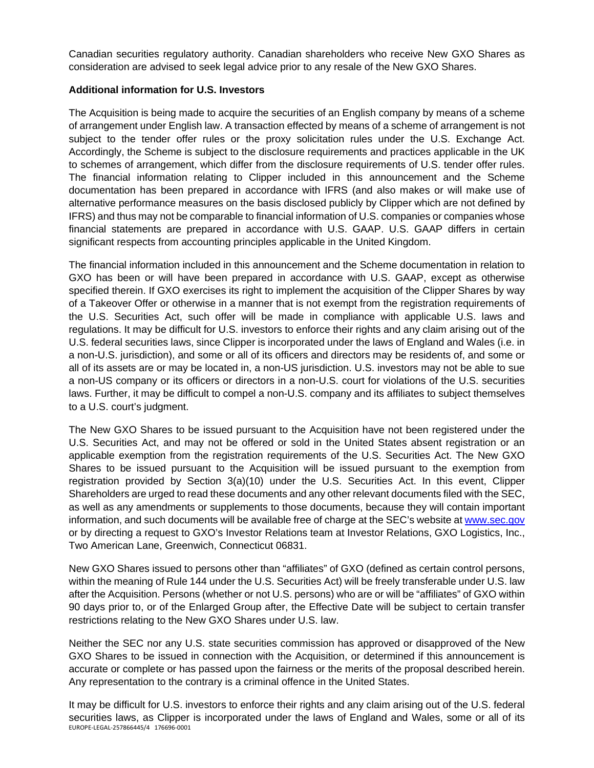Canadian securities regulatory authority. Canadian shareholders who receive New GXO Shares as consideration are advised to seek legal advice prior to any resale of the New GXO Shares.

## **Additional information for U.S. Investors**

The Acquisition is being made to acquire the securities of an English company by means of a scheme of arrangement under English law. A transaction effected by means of a scheme of arrangement is not subject to the tender offer rules or the proxy solicitation rules under the U.S. Exchange Act. Accordingly, the Scheme is subject to the disclosure requirements and practices applicable in the UK to schemes of arrangement, which differ from the disclosure requirements of U.S. tender offer rules. The financial information relating to Clipper included in this announcement and the Scheme documentation has been prepared in accordance with IFRS (and also makes or will make use of alternative performance measures on the basis disclosed publicly by Clipper which are not defined by IFRS) and thus may not be comparable to financial information of U.S. companies or companies whose financial statements are prepared in accordance with U.S. GAAP. U.S. GAAP differs in certain significant respects from accounting principles applicable in the United Kingdom.

The financial information included in this announcement and the Scheme documentation in relation to GXO has been or will have been prepared in accordance with U.S. GAAP, except as otherwise specified therein. If GXO exercises its right to implement the acquisition of the Clipper Shares by way of a Takeover Offer or otherwise in a manner that is not exempt from the registration requirements of the U.S. Securities Act, such offer will be made in compliance with applicable U.S. laws and regulations. It may be difficult for U.S. investors to enforce their rights and any claim arising out of the U.S. federal securities laws, since Clipper is incorporated under the laws of England and Wales (i.e. in a non-U.S. jurisdiction), and some or all of its officers and directors may be residents of, and some or all of its assets are or may be located in, a non-US jurisdiction. U.S. investors may not be able to sue a non-US company or its officers or directors in a non-U.S. court for violations of the U.S. securities laws. Further, it may be difficult to compel a non-U.S. company and its affiliates to subject themselves to a U.S. court's judgment.

The New GXO Shares to be issued pursuant to the Acquisition have not been registered under the U.S. Securities Act, and may not be offered or sold in the United States absent registration or an applicable exemption from the registration requirements of the U.S. Securities Act. The New GXO Shares to be issued pursuant to the Acquisition will be issued pursuant to the exemption from registration provided by Section 3(a)(10) under the U.S. Securities Act. In this event, Clipper Shareholders are urged to read these documents and any other relevant documents filed with the SEC, as well as any amendments or supplements to those documents, because they will contain important information, and such documents will be available free of charge at the SEC's website at [www.sec.gov](http://www.sec.gov/) or by directing a request to GXO's Investor Relations team at Investor Relations, GXO Logistics, Inc., Two American Lane, Greenwich, Connecticut 06831.

New GXO Shares issued to persons other than "affiliates" of GXO (defined as certain control persons, within the meaning of Rule 144 under the U.S. Securities Act) will be freely transferable under U.S. law after the Acquisition. Persons (whether or not U.S. persons) who are or will be "affiliates" of GXO within 90 days prior to, or of the Enlarged Group after, the Effective Date will be subject to certain transfer restrictions relating to the New GXO Shares under U.S. law.

Neither the SEC nor any U.S. state securities commission has approved or disapproved of the New GXO Shares to be issued in connection with the Acquisition, or determined if this announcement is accurate or complete or has passed upon the fairness or the merits of the proposal described herein. Any representation to the contrary is a criminal offence in the United States.

EUROPE-LEGAL-257866445/4 176696-0001 It may be difficult for U.S. investors to enforce their rights and any claim arising out of the U.S. federal securities laws, as Clipper is incorporated under the laws of England and Wales, some or all of its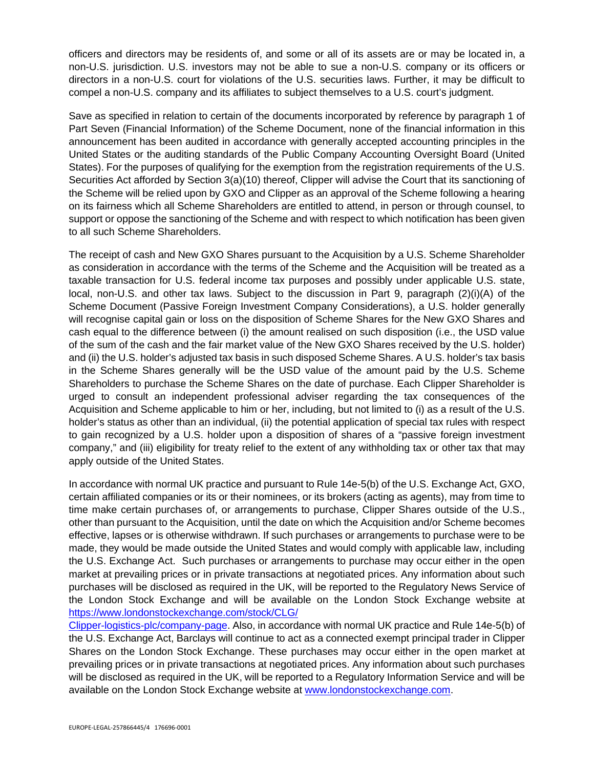officers and directors may be residents of, and some or all of its assets are or may be located in, a non-U.S. jurisdiction. U.S. investors may not be able to sue a non-U.S. company or its officers or directors in a non-U.S. court for violations of the U.S. securities laws. Further, it may be difficult to compel a non-U.S. company and its affiliates to subject themselves to a U.S. court's judgment.

Save as specified in relation to certain of the documents incorporated by reference by paragraph 1 of Part Seven (Financial Information) of the Scheme Document, none of the financial information in this announcement has been audited in accordance with generally accepted accounting principles in the United States or the auditing standards of the Public Company Accounting Oversight Board (United States). For the purposes of qualifying for the exemption from the registration requirements of the U.S. Securities Act afforded by Section 3(a)(10) thereof, Clipper will advise the Court that its sanctioning of the Scheme will be relied upon by GXO and Clipper as an approval of the Scheme following a hearing on its fairness which all Scheme Shareholders are entitled to attend, in person or through counsel, to support or oppose the sanctioning of the Scheme and with respect to which notification has been given to all such Scheme Shareholders.

The receipt of cash and New GXO Shares pursuant to the Acquisition by a U.S. Scheme Shareholder as consideration in accordance with the terms of the Scheme and the Acquisition will be treated as a taxable transaction for U.S. federal income tax purposes and possibly under applicable U.S. state, local, non-U.S. and other tax laws. Subject to the discussion in Part 9, paragraph (2)(i)(A) of the Scheme Document (Passive Foreign Investment Company Considerations), a U.S. holder generally will recognise capital gain or loss on the disposition of Scheme Shares for the New GXO Shares and cash equal to the difference between (i) the amount realised on such disposition (i.e., the USD value of the sum of the cash and the fair market value of the New GXO Shares received by the U.S. holder) and (ii) the U.S. holder's adjusted tax basis in such disposed Scheme Shares. A U.S. holder's tax basis in the Scheme Shares generally will be the USD value of the amount paid by the U.S. Scheme Shareholders to purchase the Scheme Shares on the date of purchase. Each Clipper Shareholder is urged to consult an independent professional adviser regarding the tax consequences of the Acquisition and Scheme applicable to him or her, including, but not limited to (i) as a result of the U.S. holder's status as other than an individual, (ii) the potential application of special tax rules with respect to gain recognized by a U.S. holder upon a disposition of shares of a "passive foreign investment company," and (iii) eligibility for treaty relief to the extent of any withholding tax or other tax that may apply outside of the United States.

In accordance with normal UK practice and pursuant to Rule 14e-5(b) of the U.S. Exchange Act, GXO, certain affiliated companies or its or their nominees, or its brokers (acting as agents), may from time to time make certain purchases of, or arrangements to purchase, Clipper Shares outside of the U.S., other than pursuant to the Acquisition, until the date on which the Acquisition and/or Scheme becomes effective, lapses or is otherwise withdrawn. If such purchases or arrangements to purchase were to be made, they would be made outside the United States and would comply with applicable law, including the U.S. Exchange Act. Such purchases or arrangements to purchase may occur either in the open market at prevailing prices or in private transactions at negotiated prices. Any information about such purchases will be disclosed as required in the UK, will be reported to the Regulatory News Service of the London Stock Exchange and will be available on the London Stock Exchange website at [https://www.londonstockexchange.com/stock/CLG/](https://www.londonstockexchange.com/stock/CLG/Clipper-logistics-plc/company-page) 

[Clipper-logistics-plc/company-page.](https://www.londonstockexchange.com/stock/CLG/Clipper-logistics-plc/company-page) Also, in accordance with normal UK practice and Rule 14e-5(b) of the U.S. Exchange Act, Barclays will continue to act as a connected exempt principal trader in Clipper Shares on the London Stock Exchange. These purchases may occur either in the open market at prevailing prices or in private transactions at negotiated prices. Any information about such purchases will be disclosed as required in the UK, will be reported to a Regulatory Information Service and will be available on the London Stock Exchange website at [www.londonstockexchange.com.](http://www.londonstockexchange.com/)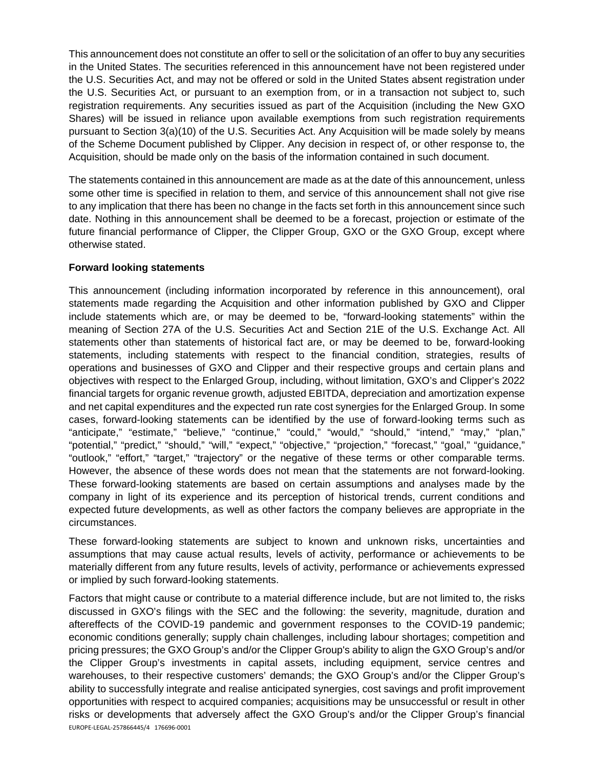This announcement does not constitute an offer to sell or the solicitation of an offer to buy any securities in the United States. The securities referenced in this announcement have not been registered under the U.S. Securities Act, and may not be offered or sold in the United States absent registration under the U.S. Securities Act, or pursuant to an exemption from, or in a transaction not subject to, such registration requirements. Any securities issued as part of the Acquisition (including the New GXO Shares) will be issued in reliance upon available exemptions from such registration requirements pursuant to Section 3(a)(10) of the U.S. Securities Act. Any Acquisition will be made solely by means of the Scheme Document published by Clipper. Any decision in respect of, or other response to, the Acquisition, should be made only on the basis of the information contained in such document.

The statements contained in this announcement are made as at the date of this announcement, unless some other time is specified in relation to them, and service of this announcement shall not give rise to any implication that there has been no change in the facts set forth in this announcement since such date. Nothing in this announcement shall be deemed to be a forecast, projection or estimate of the future financial performance of Clipper, the Clipper Group, GXO or the GXO Group, except where otherwise stated.

## **Forward looking statements**

This announcement (including information incorporated by reference in this announcement), oral statements made regarding the Acquisition and other information published by GXO and Clipper include statements which are, or may be deemed to be, "forward-looking statements" within the meaning of Section 27A of the U.S. Securities Act and Section 21E of the U.S. Exchange Act. All statements other than statements of historical fact are, or may be deemed to be, forward-looking statements, including statements with respect to the financial condition, strategies, results of operations and businesses of GXO and Clipper and their respective groups and certain plans and objectives with respect to the Enlarged Group, including, without limitation, GXO's and Clipper's 2022 financial targets for organic revenue growth, adjusted EBITDA, depreciation and amortization expense and net capital expenditures and the expected run rate cost synergies for the Enlarged Group. In some cases, forward-looking statements can be identified by the use of forward-looking terms such as "anticipate," "estimate," "believe," "continue," "could," "would," "should," "intend," "may," "plan," "potential," "predict," "should," "will," "expect," "objective," "projection," "forecast," "goal," "guidance," "outlook," "effort," "target," "trajectory" or the negative of these terms or other comparable terms. However, the absence of these words does not mean that the statements are not forward-looking. These forward-looking statements are based on certain assumptions and analyses made by the company in light of its experience and its perception of historical trends, current conditions and expected future developments, as well as other factors the company believes are appropriate in the circumstances.

These forward-looking statements are subject to known and unknown risks, uncertainties and assumptions that may cause actual results, levels of activity, performance or achievements to be materially different from any future results, levels of activity, performance or achievements expressed or implied by such forward-looking statements.

EUROPE-LEGAL-257866445/4 176696-0001 Factors that might cause or contribute to a material difference include, but are not limited to, the risks discussed in GXO's filings with the SEC and the following: the severity, magnitude, duration and aftereffects of the COVID-19 pandemic and government responses to the COVID-19 pandemic; economic conditions generally; supply chain challenges, including labour shortages; competition and pricing pressures; the GXO Group's and/or the Clipper Group's ability to align the GXO Group's and/or the Clipper Group's investments in capital assets, including equipment, service centres and warehouses, to their respective customers' demands; the GXO Group's and/or the Clipper Group's ability to successfully integrate and realise anticipated synergies, cost savings and profit improvement opportunities with respect to acquired companies; acquisitions may be unsuccessful or result in other risks or developments that adversely affect the GXO Group's and/or the Clipper Group's financial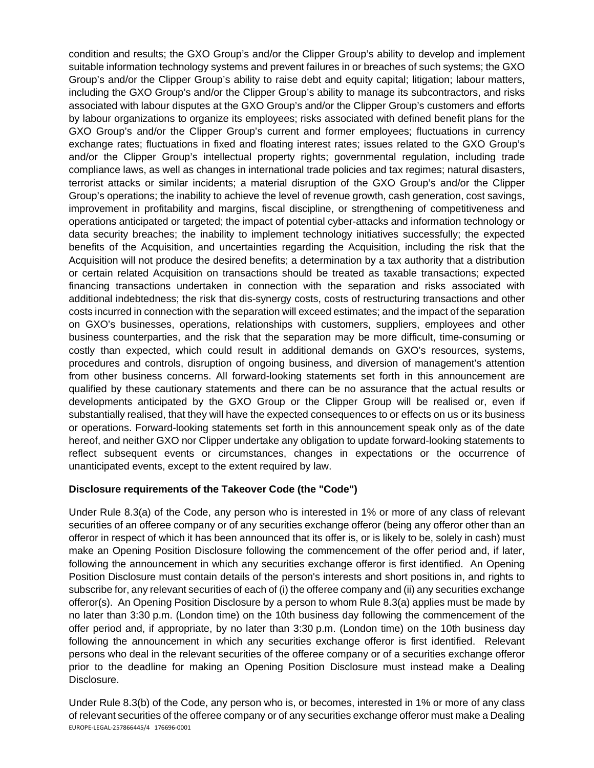condition and results; the GXO Group's and/or the Clipper Group's ability to develop and implement suitable information technology systems and prevent failures in or breaches of such systems; the GXO Group's and/or the Clipper Group's ability to raise debt and equity capital; litigation; labour matters, including the GXO Group's and/or the Clipper Group's ability to manage its subcontractors, and risks associated with labour disputes at the GXO Group's and/or the Clipper Group's customers and efforts by labour organizations to organize its employees; risks associated with defined benefit plans for the GXO Group's and/or the Clipper Group's current and former employees; fluctuations in currency exchange rates; fluctuations in fixed and floating interest rates; issues related to the GXO Group's and/or the Clipper Group's intellectual property rights; governmental regulation, including trade compliance laws, as well as changes in international trade policies and tax regimes; natural disasters, terrorist attacks or similar incidents; a material disruption of the GXO Group's and/or the Clipper Group's operations; the inability to achieve the level of revenue growth, cash generation, cost savings, improvement in profitability and margins, fiscal discipline, or strengthening of competitiveness and operations anticipated or targeted; the impact of potential cyber-attacks and information technology or data security breaches; the inability to implement technology initiatives successfully; the expected benefits of the Acquisition, and uncertainties regarding the Acquisition, including the risk that the Acquisition will not produce the desired benefits; a determination by a tax authority that a distribution or certain related Acquisition on transactions should be treated as taxable transactions; expected financing transactions undertaken in connection with the separation and risks associated with additional indebtedness; the risk that dis-synergy costs, costs of restructuring transactions and other costs incurred in connection with the separation will exceed estimates; and the impact of the separation on GXO's businesses, operations, relationships with customers, suppliers, employees and other business counterparties, and the risk that the separation may be more difficult, time-consuming or costly than expected, which could result in additional demands on GXO's resources, systems, procedures and controls, disruption of ongoing business, and diversion of management's attention from other business concerns. All forward-looking statements set forth in this announcement are qualified by these cautionary statements and there can be no assurance that the actual results or developments anticipated by the GXO Group or the Clipper Group will be realised or, even if substantially realised, that they will have the expected consequences to or effects on us or its business or operations. Forward-looking statements set forth in this announcement speak only as of the date hereof, and neither GXO nor Clipper undertake any obligation to update forward-looking statements to reflect subsequent events or circumstances, changes in expectations or the occurrence of unanticipated events, except to the extent required by law.

### **Disclosure requirements of the Takeover Code (the "Code")**

Under Rule 8.3(a) of the Code, any person who is interested in 1% or more of any class of relevant securities of an offeree company or of any securities exchange offeror (being any offeror other than an offeror in respect of which it has been announced that its offer is, or is likely to be, solely in cash) must make an Opening Position Disclosure following the commencement of the offer period and, if later, following the announcement in which any securities exchange offeror is first identified. An Opening Position Disclosure must contain details of the person's interests and short positions in, and rights to subscribe for, any relevant securities of each of (i) the offeree company and (ii) any securities exchange offeror(s). An Opening Position Disclosure by a person to whom Rule 8.3(a) applies must be made by no later than 3:30 p.m. (London time) on the 10th business day following the commencement of the offer period and, if appropriate, by no later than 3:30 p.m. (London time) on the 10th business day following the announcement in which any securities exchange offeror is first identified. Relevant persons who deal in the relevant securities of the offeree company or of a securities exchange offeror prior to the deadline for making an Opening Position Disclosure must instead make a Dealing Disclosure.

EUROPE-LEGAL-257866445/4 176696-0001 Under Rule 8.3(b) of the Code, any person who is, or becomes, interested in 1% or more of any class of relevant securities of the offeree company or of any securities exchange offeror must make a Dealing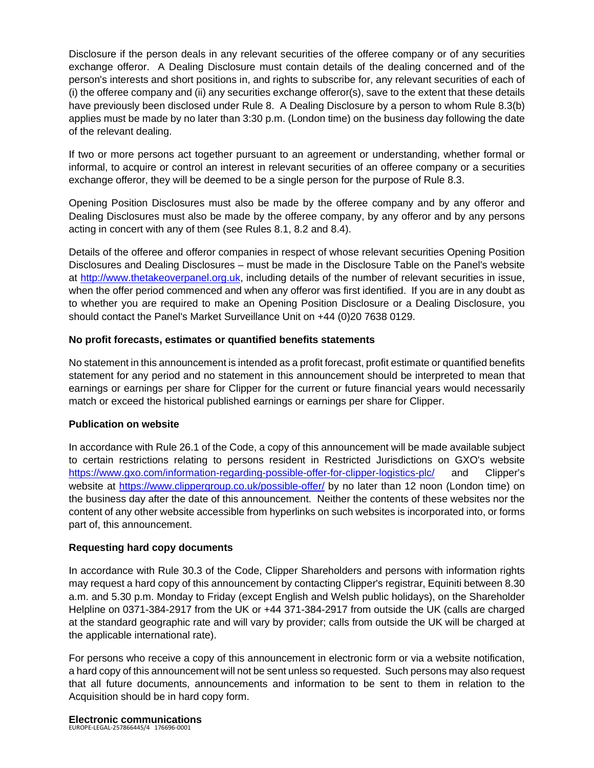Disclosure if the person deals in any relevant securities of the offeree company or of any securities exchange offeror. A Dealing Disclosure must contain details of the dealing concerned and of the person's interests and short positions in, and rights to subscribe for, any relevant securities of each of (i) the offeree company and (ii) any securities exchange offeror(s), save to the extent that these details have previously been disclosed under Rule 8. A Dealing Disclosure by a person to whom Rule 8.3(b) applies must be made by no later than 3:30 p.m. (London time) on the business day following the date of the relevant dealing.

If two or more persons act together pursuant to an agreement or understanding, whether formal or informal, to acquire or control an interest in relevant securities of an offeree company or a securities exchange offeror, they will be deemed to be a single person for the purpose of Rule 8.3.

Opening Position Disclosures must also be made by the offeree company and by any offeror and Dealing Disclosures must also be made by the offeree company, by any offeror and by any persons acting in concert with any of them (see Rules 8.1, 8.2 and 8.4).

Details of the offeree and offeror companies in respect of whose relevant securities Opening Position Disclosures and Dealing Disclosures – must be made in the Disclosure Table on the Panel's website at [http://www.thetakeoverpanel.org.uk,](http://www.thetakeoverpanel.org.uk/) including details of the number of relevant securities in issue, when the offer period commenced and when any offeror was first identified. If you are in any doubt as to whether you are required to make an Opening Position Disclosure or a Dealing Disclosure, you should contact the Panel's Market Surveillance Unit on +44 (0)20 7638 0129.

## **No profit forecasts, estimates or quantified benefits statements**

No statement in this announcement is intended as a profit forecast, profit estimate or quantified benefits statement for any period and no statement in this announcement should be interpreted to mean that earnings or earnings per share for Clipper for the current or future financial years would necessarily match or exceed the historical published earnings or earnings per share for Clipper.

### **Publication on website**

In accordance with Rule 26.1 of the Code, a copy of this announcement will be made available subject to certain restrictions relating to persons resident in Restricted Jurisdictions on GXO's website <https://www.gxo.com/information-regarding-possible-offer-for-clipper-logistics-plc/>and Clipper's website at<https://www.clippergroup.co.uk/possible-offer/>by no later than 12 noon (London time) on the business day after the date of this announcement. Neither the contents of these websites nor the content of any other website accessible from hyperlinks on such websites is incorporated into, or forms part of, this announcement.

# **Requesting hard copy documents**

In accordance with Rule 30.3 of the Code, Clipper Shareholders and persons with information rights may request a hard copy of this announcement by contacting Clipper's registrar, Equiniti between 8.30 a.m. and 5.30 p.m. Monday to Friday (except English and Welsh public holidays), on the Shareholder Helpline on 0371-384-2917 from the UK or +44 371-384-2917 from outside the UK (calls are charged at the standard geographic rate and will vary by provider; calls from outside the UK will be charged at the applicable international rate).

For persons who receive a copy of this announcement in electronic form or via a website notification, a hard copy of this announcement will not be sent unless so requested. Such persons may also request that all future documents, announcements and information to be sent to them in relation to the Acquisition should be in hard copy form.

#### EUROPE-LEGAL-257866445/4 176696-0001 **Electronic communications**